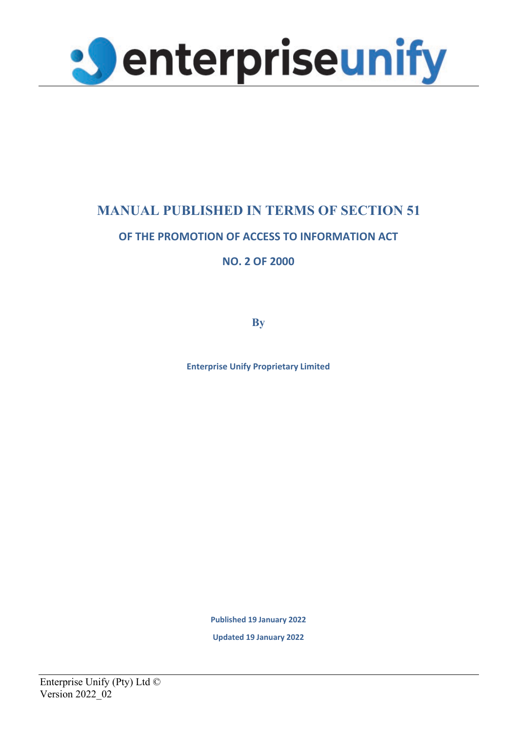

# **MANUAL PUBLISHED IN TERMS OF SECTION 51**

# **OF THE PROMOTION OF ACCESS TO INFORMATION ACT**

**NO. 2 OF 2000**

**By**

**Enterprise Unify Proprietary Limited**

**Published 19 January 2022**

**Updated 19 January 2022**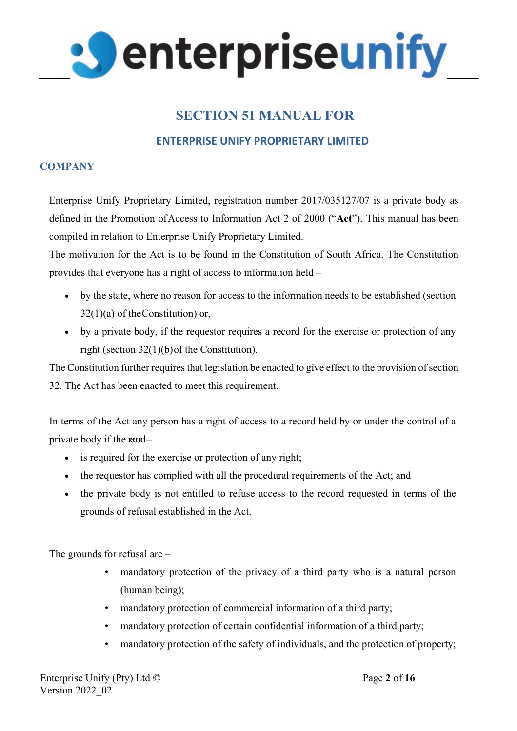

# **SECTION 51 MANUAL FOR**

## **ENTERPRISE UNIFY PROPRIETARY LIMITED**

## **COMPANY**

Enterprise Unify Proprietary Limited, registration number 2017/035127/07 is a private body as defined in the Promotion of Access to Information Act 2 of 2000 ("**Act**"). This manual has been compiled in relation to Enterprise Unify Proprietary Limited.

The motivation for the Act is to be found in the Constitution of South Africa. The Constitution provides that everyone has a right of access to information held –

- by the state, where no reason for access to the information needs to be established (section  $32(1)(a)$  of the Constitution) or,
- by a private body, if the requestor requires a record for the exercise or protection of any right (section 32(1)(b) of the Constitution).

The Constitution further requires that legislation be enacted to give effect to the provision of section 32. The Act has been enacted to meet this requirement.

In terms of the Act any person has a right of access to a record held by or under the control of a private body if the  $\text{mod}-$ 

- is required for the exercise or protection of any right;
- the requestor has complied with all the procedural requirements of the Act; and
- the private body is not entitled to refuse access to the record requested in terms of the grounds of refusal established in the Act.

The grounds for refusal are –

- mandatory protection of the privacy of a third party who is a natural person (human being);
- mandatory protection of commercial information of a third party;
- mandatory protection of certain confidential information of a third party;
- mandatory protection of the safety of individuals, and the protection of property;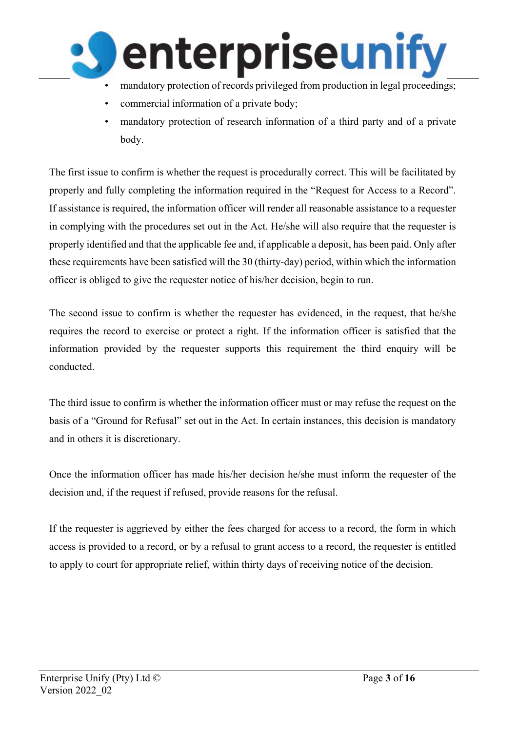

- mandatory protection of records privileged from production in legal proceedings;
- commercial information of a private body;
- mandatory protection of research information of a third party and of a private body.

The first issue to confirm is whether the request is procedurally correct. This will be facilitated by properly and fully completing the information required in the "Request for Access to a Record". If assistance is required, the information officer will render all reasonable assistance to a requester in complying with the procedures set out in the Act. He/she will also require that the requester is properly identified and that the applicable fee and, if applicable a deposit, has been paid. Only after these requirements have been satisfied will the 30 (thirty-day) period, within which the information officer is obliged to give the requester notice of his/her decision, begin to run.

The second issue to confirm is whether the requester has evidenced, in the request, that he/she requires the record to exercise or protect a right. If the information officer is satisfied that the information provided by the requester supports this requirement the third enquiry will be conducted.

The third issue to confirm is whether the information officer must or may refuse the request on the basis of a "Ground for Refusal" set out in the Act. In certain instances, this decision is mandatory and in others it is discretionary.

Once the information officer has made his/her decision he/she must inform the requester of the decision and, if the request if refused, provide reasons for the refusal.

If the requester is aggrieved by either the fees charged for access to a record, the form in which access is provided to a record, or by a refusal to grant access to a record, the requester is entitled to apply to court for appropriate relief, within thirty days of receiving notice of the decision.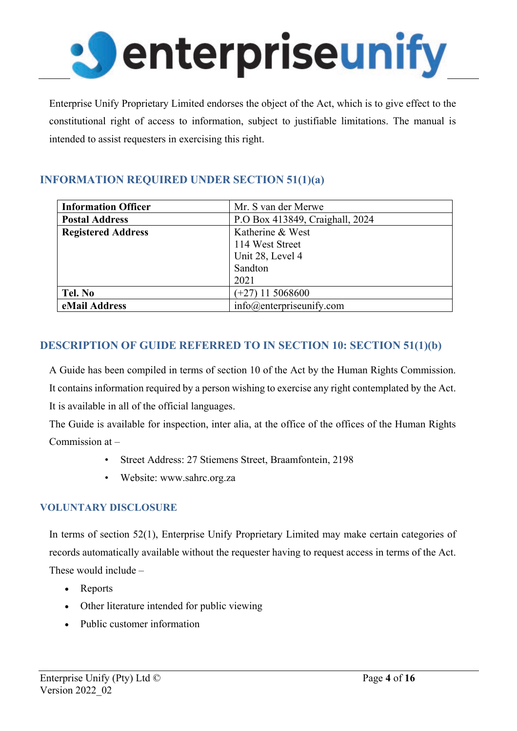

Enterprise Unify Proprietary Limited endorses the object of the Act, which is to give effect to the constitutional right of access to information, subject to justifiable limitations. The manual is intended to assist requesters in exercising this right.

# **INFORMATION REQUIRED UNDER SECTION 51(1)(a)**

| <b>Information Officer</b> | Mr. S van der Merwe             |
|----------------------------|---------------------------------|
| <b>Postal Address</b>      | P.O Box 413849, Craighall, 2024 |
| <b>Registered Address</b>  | Katherine & West                |
|                            | 114 West Street                 |
|                            | Unit 28, Level 4                |
|                            | Sandton                         |
|                            | 2021                            |
| Tel. No                    | $(+27)$ 11 5068600              |
| eMail Address              | $info@$ enterpriseunify.com     |

# **DESCRIPTION OF GUIDE REFERRED TO IN SECTION 10: SECTION 51(1)(b)**

A Guide has been compiled in terms of section 10 of the Act by the Human Rights Commission. It contains information required by a person wishing to exercise any right contemplated by the Act. It is available in all of the official languages.

The Guide is available for inspection, inter alia, at the office of the offices of the Human Rights Commission at –

- Street Address: 27 Stiemens Street, Braamfontein, 2198
- Website: [www.sahrc.org.za](http://www.sahrc.org.za/)

## **VOLUNTARY DISCLOSURE**

In terms of section 52(1), Enterprise Unify Proprietary Limited may make certain categories of records automatically available without the requester having to request access in terms of the Act. These would include –

- Reports
- Other literature intended for public viewing
- Public customer information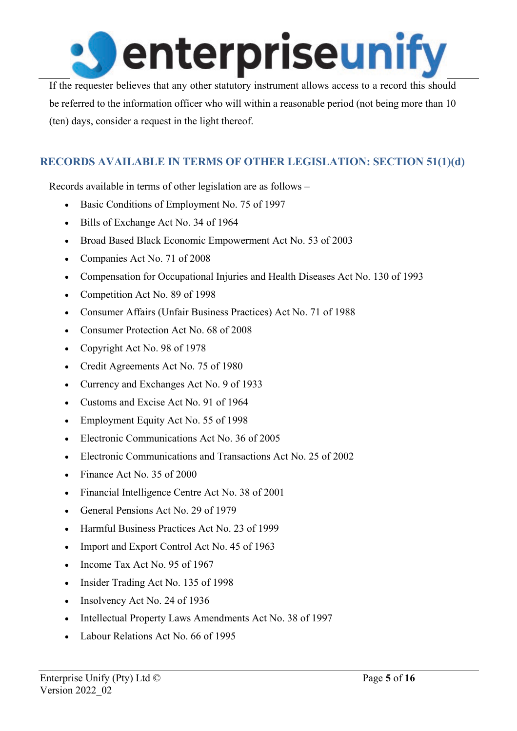

If the requester believes that any other statutory instrument allows access to a record this should be referred to the information officer who will within a reasonable period (not being more than 10 (ten) days, consider a request in the light thereof.

# **RECORDS AVAILABLE IN TERMS OF OTHER LEGISLATION: SECTION 51(1)(d)**

Records available in terms of other legislation are as follows –

- Basic Conditions of Employment No. 75 of 1997
- Bills of Exchange Act No. 34 of 1964
- Broad Based Black Economic Empowerment Act No. 53 of 2003
- Companies Act No. 71 of 2008
- Compensation for Occupational Injuries and Health Diseases Act No. 130 of 1993
- Competition Act No. 89 of 1998
- Consumer Affairs (Unfair Business Practices) Act No. 71 of 1988
- Consumer Protection Act No. 68 of 2008
- Copyright Act No. 98 of 1978
- Credit Agreements Act No. 75 of 1980
- Currency and Exchanges Act No. 9 of 1933
- Customs and Excise Act No. 91 of 1964
- Employment Equity Act No. 55 of 1998
- Electronic Communications Act No. 36 of 2005
- Electronic Communications and Transactions Act No. 25 of 2002
- Finance Act No. 35 of 2000
- Financial Intelligence Centre Act No. 38 of 2001
- General Pensions Act No. 29 of 1979
- Harmful Business Practices Act No. 23 of 1999
- Import and Export Control Act No. 45 of 1963
- Income Tax Act No. 95 of 1967
- Insider Trading Act No. 135 of 1998
- Insolvency Act No. 24 of 1936
- Intellectual Property Laws Amendments Act No. 38 of 1997
- Labour Relations Act No. 66 of 1995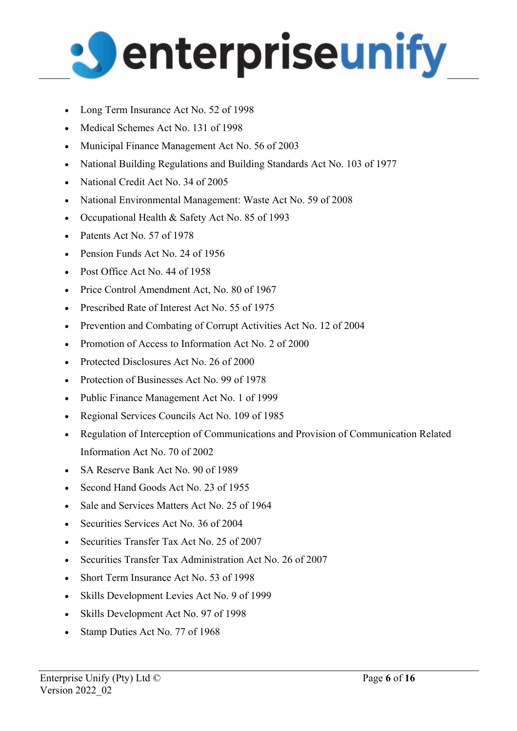

- Long Term Insurance Act No. 52 of 1998
- Medical Schemes Act No. 131 of 1998
- Municipal Finance Management Act No. 56 of 2003
- National Building Regulations and Building Standards Act No. 103 of 1977
- National Credit Act No. 34 of 2005
- National Environmental Management: Waste Act No. 59 of 2008
- Occupational Health & Safety Act No. 85 of 1993
- Patents Act No. 57 of 1978
- Pension Funds Act No. 24 of 1956
- Post Office Act No. 44 of 1958
- Price Control Amendment Act, No. 80 of 1967
- Prescribed Rate of Interest Act No. 55 of 1975
- Prevention and Combating of Corrupt Activities Act No. 12 of 2004
- Promotion of Access to Information Act No. 2 of 2000
- Protected Disclosures Act No. 26 of 2000
- Protection of Businesses Act No. 99 of 1978
- Public Finance Management Act No. 1 of 1999
- Regional Services Councils Act No. 109 of 1985
- Regulation of Interception of Communications and Provision of Communication Related Information Act No. 70 of 2002
- SA Reserve Bank Act No. 90 of 1989
- Second Hand Goods Act No. 23 of 1955
- Sale and Services Matters Act No. 25 of 1964
- Securities Services Act No. 36 of 2004
- Securities Transfer Tax Act No. 25 of 2007
- Securities Transfer Tax Administration Act No. 26 of 2007
- Short Term Insurance Act No. 53 of 1998
- Skills Development Levies Act No. 9 of 1999
- Skills Development Act No. 97 of 1998
- Stamp Duties Act No. 77 of 1968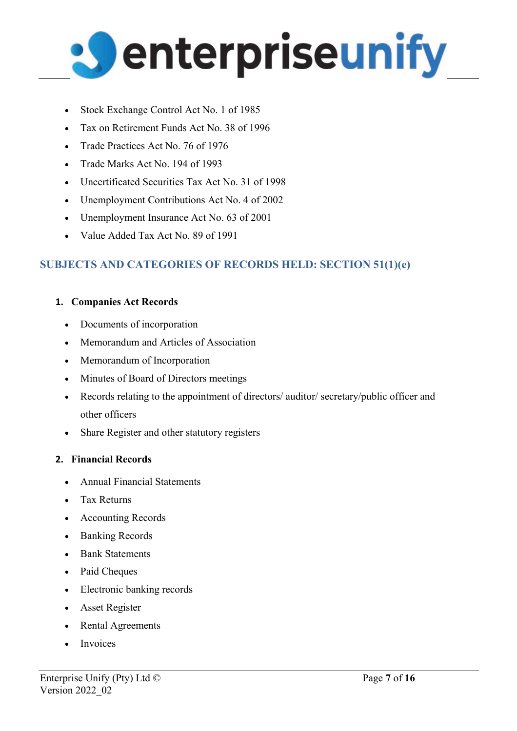

- Stock Exchange Control Act No. 1 of 1985
- Tax on Retirement Funds Act No. 38 of 1996
- Trade Practices Act No. 76 of 1976
- Trade Marks Act No. 194 of 1993
- Uncertificated Securities Tax Act No. 31 of 1998
- Unemployment Contributions Act No. 4 of 2002
- Unemployment Insurance Act No. 63 of 2001
- Value Added Tax Act No. 89 of 1991

# **SUBJECTS AND CATEGORIES OF RECORDS HELD: SECTION 51(1)(e)**

## **1. Companies Act Records**

- Documents of incorporation
- Memorandum and Articles of Association
- Memorandum of Incorporation
- Minutes of Board of Directors meetings
- Records relating to the appointment of directors/ auditor/ secretary/public officer and other officers
- Share Register and other statutory registers

## **2. Financial Records**

- Annual Financial Statements
- Tax Returns
- Accounting Records
- Banking Records
- Bank Statements
- Paid Cheques
- Electronic banking records
- Asset Register
- Rental Agreements
- **Invoices**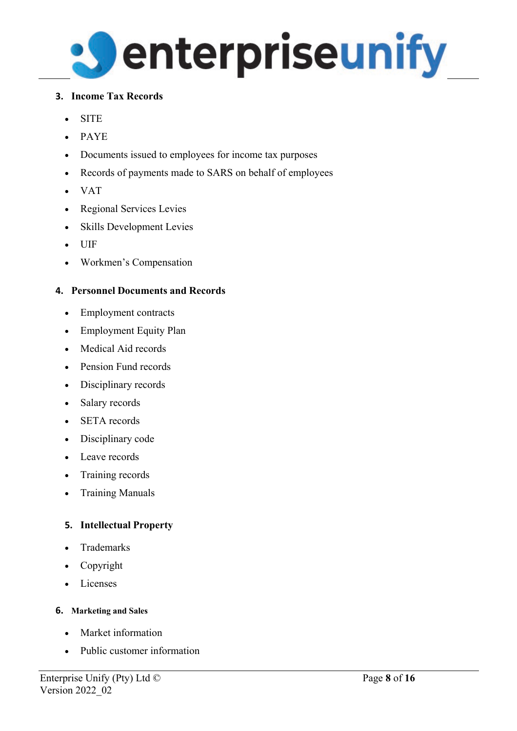

## **3. Income Tax Records**

- SITE
- PAYE
- Documents issued to employees for income tax purposes
- Records of payments made to SARS on behalf of employees
- VAT
- Regional Services Levies
- Skills Development Levies
- UIF
- Workmen's Compensation

## **4. Personnel Documents and Records**

- Employment contracts
- Employment Equity Plan
- Medical Aid records
- Pension Fund records
- Disciplinary records
- Salary records
- SETA records
- Disciplinary code
- Leave records
- Training records
- Training Manuals

## **5. Intellectual Property**

- **Trademarks**
- Copyright
- Licenses

## **6. Marketing and Sales**

- Market information
- Public customer information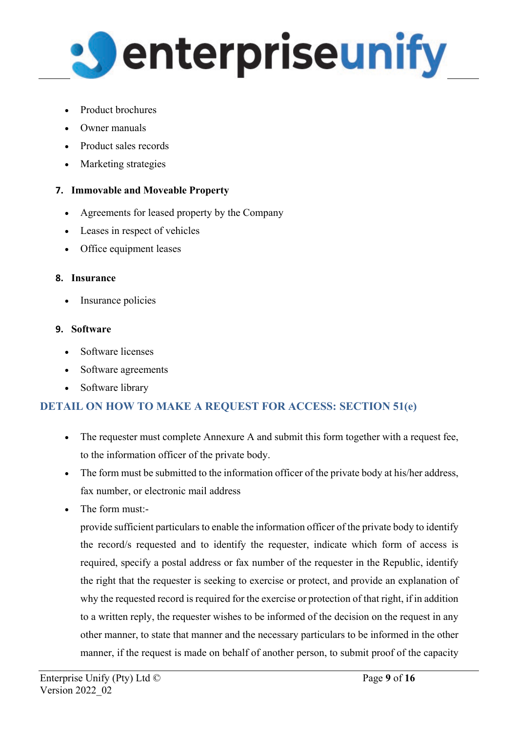

- Product brochures
- Owner manuals
- Product sales records
- Marketing strategies

# **7. Immovable and Moveable Property**

- Agreements for leased property by the Company
- Leases in respect of vehicles
- Office equipment leases

## **8. Insurance**

• Insurance policies

# **9. Software**

- Software licenses
- Software agreements
- Software library

# **DETAIL ON HOW TO MAKE A REQUEST FOR ACCESS: SECTION 51(e)**

- The requester must complete Annexure A and submit this form together with a request fee, to the information officer of the private body.
- The form must be submitted to the information officer of the private body at his/her address, fax number, or electronic mail address
- The form must:-

provide sufficient particulars to enable the information officer of the private body to identify the record/s requested and to identify the requester, indicate which form of access is required, specify a postal address or fax number of the requester in the Republic, identify the right that the requester is seeking to exercise or protect, and provide an explanation of why the requested record is required for the exercise or protection of that right, if in addition to a written reply, the requester wishes to be informed of the decision on the request in any other manner, to state that manner and the necessary particulars to be informed in the other manner, if the request is made on behalf of another person, to submit proof of the capacity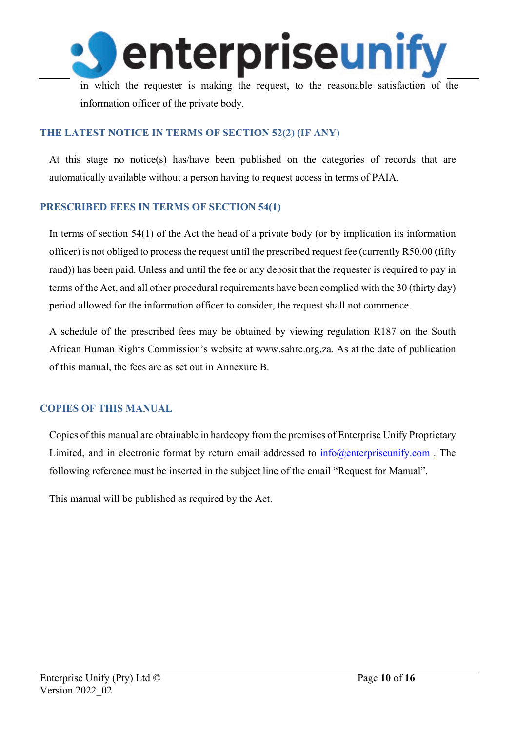

in which the requester is making the request, to the reasonable satisfaction of the information officer of the private body.

## **THE LATEST NOTICE IN TERMS OF SECTION 52(2) (IF ANY)**

At this stage no notice(s) has/have been published on the categories of records that are automatically available without a person having to request access in terms of PAIA.

## **PRESCRIBED FEES IN TERMS OF SECTION 54(1)**

In terms of section 54(1) of the Act the head of a private body (or by implication its information officer) is not obliged to process the request until the prescribed request fee (currently R50.00 (fifty rand)) has been paid. Unless and until the fee or any deposit that the requester is required to pay in terms of the Act, and all other procedural requirements have been complied with the 30 (thirty day) period allowed for the information officer to consider, the request shall not commence.

A schedule of the prescribed fees may be obtained by viewing regulation R187 on the South African Human Rights Commission's website at [www.sahrc.org.za.](http://www.sahrc.org.za/) As at the date of publication of this manual, the fees are as set out in Annexure B.

## **COPIES OF THIS MANUAL**

Copies of this manual are obtainable in hardcopy from the premises of Enterprise Unify Proprietary Limited, and in electronic format by return email addressed to  $inf_0(\omega)$  enterpriseunify.com. The following reference must be inserted in the subject line of the email "Request for Manual".

This manual will be published as required by the Act.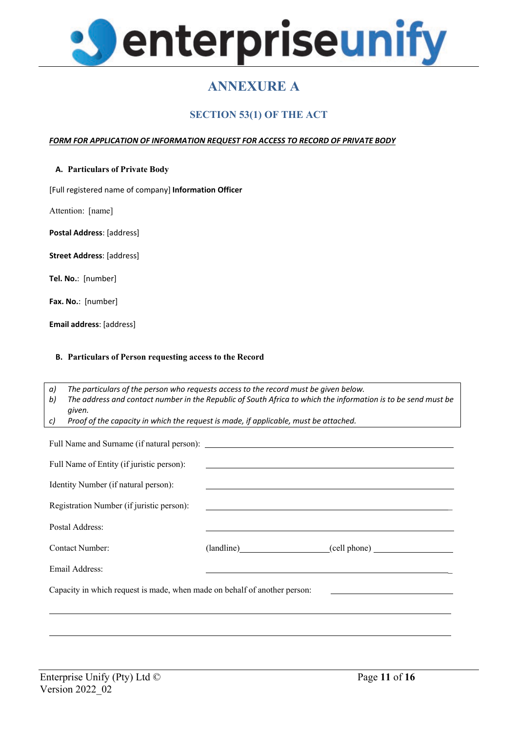

# **ANNEXURE A**

## **SECTION 53(1) OF THE ACT**

### *FORM FOR APPLICATION OF INFORMATION REQUEST FOR ACCESS TO RECORD OF PRIVATE BODY*

### **A. Particulars of Private Body**

[Full registered name of company] **Information Officer**

Attention: [name]

**Postal Address**: [address]

**Street Address**: [address]

**Tel. No.**: [number]

**Fax. No.**: [number]

**Email address**: [address]

#### **B. Particulars of Person requesting access to the Record**

*a) The particulars of the person who requests access to the record must be given below.*

*b) The address and contact number in the Republic of South Africa to which the information is to be send must be given.*

*c) Proof of the capacity in which the request is made, if applicable, must be attached.*

| Full Name of Entity (if juristic person):                                                                                     | <u> Alexandria de la contrada de la contrada de la contrada de la contrada de la contrada de la contrada de la c</u>                                                                                                          |                         |  |  |  |  |
|-------------------------------------------------------------------------------------------------------------------------------|-------------------------------------------------------------------------------------------------------------------------------------------------------------------------------------------------------------------------------|-------------------------|--|--|--|--|
| Identity Number (if natural person):                                                                                          |                                                                                                                                                                                                                               |                         |  |  |  |  |
| Registration Number (if juristic person):                                                                                     |                                                                                                                                                                                                                               |                         |  |  |  |  |
| Postal Address:                                                                                                               |                                                                                                                                                                                                                               |                         |  |  |  |  |
| Contact Number:                                                                                                               |                                                                                                                                                                                                                               | (landline) (cell phone) |  |  |  |  |
| Email Address:                                                                                                                | the control of the control of the control of the control of the control of the control of the control of the control of the control of the control of the control of the control of the control of the control of the control |                         |  |  |  |  |
| Capacity in which request is made, when made on behalf of another person:<br><u> 1989 - Johann Barbara, martin da kasar A</u> |                                                                                                                                                                                                                               |                         |  |  |  |  |
|                                                                                                                               |                                                                                                                                                                                                                               |                         |  |  |  |  |
|                                                                                                                               |                                                                                                                                                                                                                               |                         |  |  |  |  |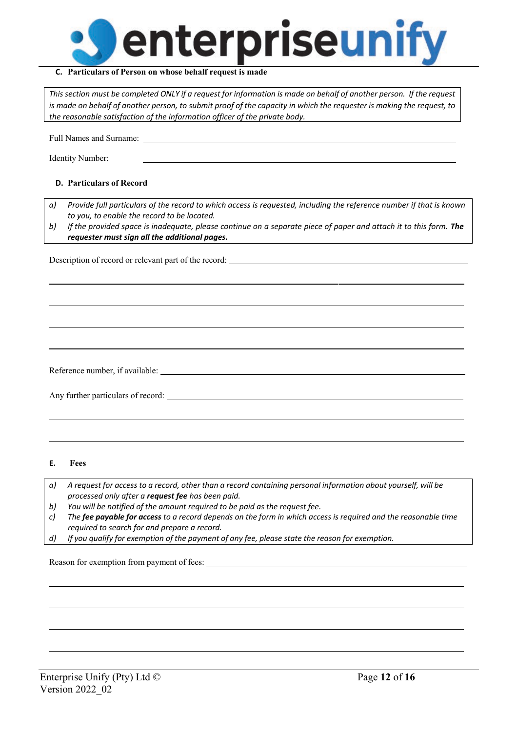

#### **C. Particulars of Person on whose behalf request is made**

This section must be completed ONLY if a request for information is made on behalf of another person. If the request is made on behalf of another person, to submit proof of the capacity in which the requester is making the request, to *the reasonable satisfaction of the information officer of the private body.*

Full Names and Surname:

Identity Number:

### **D. Particulars of Record**

- *a) Provide full particulars of the record to which access is requested, including the reference number if that is known to you, to enable the record to be located.*
- b) If the provided space is inadequate, please continue on a separate piece of paper and attach it to this form. The *requester must sign all the additional pages.*

Description of record or relevant part of the record:

Reference number, if available:

Any further particulars of record:

#### **E. Fees**

- a) A request for access to a record, other than a record containing personal information about yourself, will be *processed only after a request fee has been paid.*
- *b) You will be notified of the amount required to be paid as the request fee.*
- *c) The fee payable for access to a record depends on the form in which access is required and the reasonable time required to search for and prepare a record.*
- *d) If you qualify for exemption of the payment of any fee, please state the reason for exemption.*

Reason for exemption from payment of fees: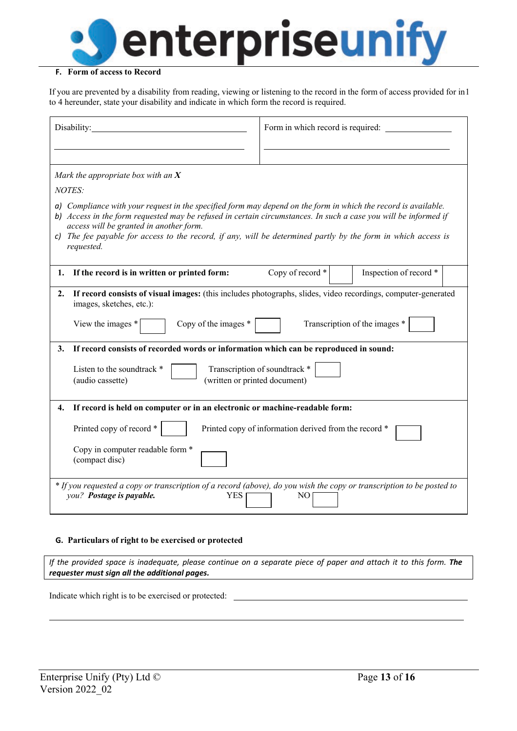

### **F. Form of access to Record**

If you are prevented by a disability from reading, viewing or listening to the record in the form of access provided for in 1 to 4 hereunder, state your disability and indicate in which form the record is required.

| Disability:                                                                                                                                                                                                                                                                                                                                                                                                 | Form in which record is required:          |  |  |  |  |  |
|-------------------------------------------------------------------------------------------------------------------------------------------------------------------------------------------------------------------------------------------------------------------------------------------------------------------------------------------------------------------------------------------------------------|--------------------------------------------|--|--|--|--|--|
| Mark the appropriate box with an $X$<br>NOTES:                                                                                                                                                                                                                                                                                                                                                              |                                            |  |  |  |  |  |
| a) Compliance with your request in the specified form may depend on the form in which the record is available.<br>b) Access in the form requested may be refused in certain circumstances. In such a case you will be informed if<br>access will be granted in another form.<br>c) The fee payable for access to the record, if any, will be determined partly by the form in which access is<br>requested. |                                            |  |  |  |  |  |
| If the record is in written or printed form:<br>1.                                                                                                                                                                                                                                                                                                                                                          | Inspection of record *<br>Copy of record * |  |  |  |  |  |
| If record consists of visual images: (this includes photographs, slides, video recordings, computer-generated<br>2.<br>images, sketches, etc.):<br>Transcription of the images *<br>Copy of the images *<br>View the images *                                                                                                                                                                               |                                            |  |  |  |  |  |
| If record consists of recorded words or information which can be reproduced in sound:<br>3.                                                                                                                                                                                                                                                                                                                 |                                            |  |  |  |  |  |
| Listen to the soundtrack *<br>(written or printed document)<br>(audio cassette)                                                                                                                                                                                                                                                                                                                             | Transcription of soundtrack *              |  |  |  |  |  |
| If record is held on computer or in an electronic or machine-readable form:<br>4.                                                                                                                                                                                                                                                                                                                           |                                            |  |  |  |  |  |
| Printed copy of record *<br>Printed copy of information derived from the record *                                                                                                                                                                                                                                                                                                                           |                                            |  |  |  |  |  |
| Copy in computer readable form *<br>(compact disc)                                                                                                                                                                                                                                                                                                                                                          |                                            |  |  |  |  |  |
| * If you requested a copy or transcription of a record (above), do you wish the copy or transcription to be posted to<br>you? Postage is payable.<br><b>YES</b><br>NO.                                                                                                                                                                                                                                      |                                            |  |  |  |  |  |

### **G. Particulars of right to be exercised or protected**

If the provided space is inadequate, please continue on a separate piece of paper and attach it to this form. The *requester must sign all the additional pages.*

Indicate which right is to be exercised or protected: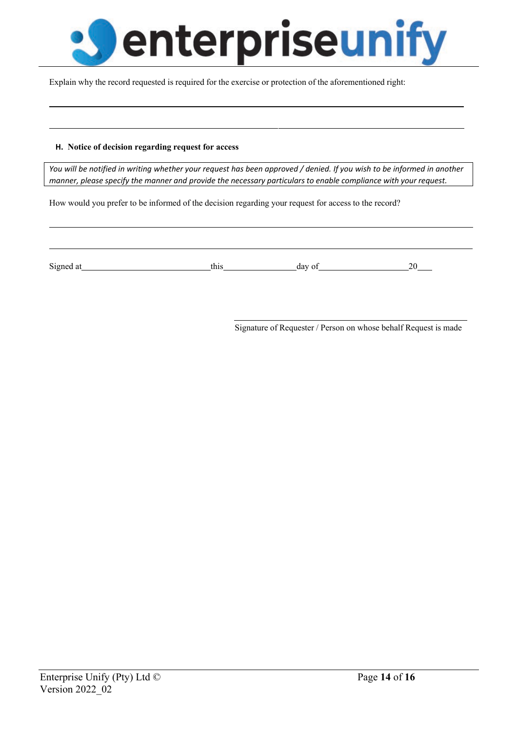

Explain why the record requested is required for the exercise or protection of the aforementioned right:

#### **H. Notice of decision regarding request for access**

You will be notified in writing whether your request has been approved / denied. If you wish to be informed in another *manner, please specify the manner and provide the necessary particulars to enable compliance with your request.*

How would you prefer to be informed of the decision regarding your request for access to the record?

Signed at this day of 20

Signature of Requester / Person on whose behalf Request is made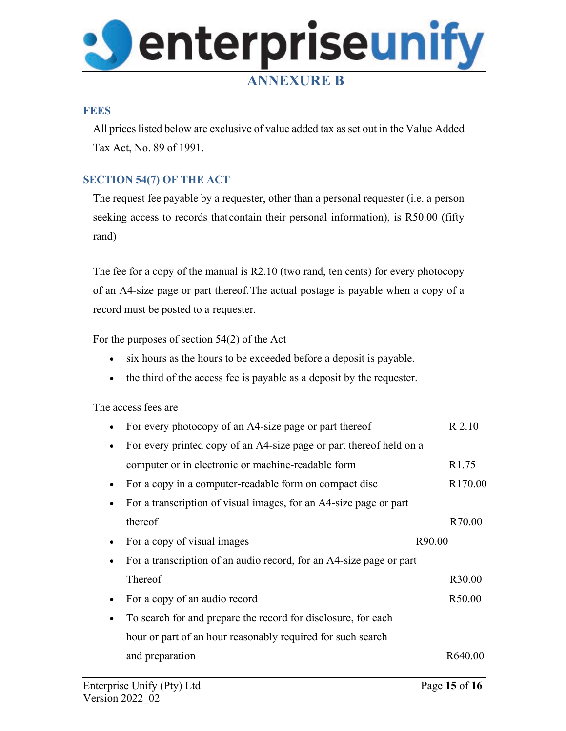

### **FEES**

All prices listed below are exclusive of value added tax as set out in the Value Added Tax Act, No. 89 of 1991.

## **SECTION 54(7) OF THE ACT**

The request fee payable by a requester, other than a personal requester (i.e. a person seeking access to records that contain their personal information), is R50.00 (fifty rand)

The fee for a copy of the manual is R2.10 (two rand, ten cents) for every photocopy of an A4-size page or part thereof.The actual postage is payable when a copy of a record must be posted to a requester.

For the purposes of section  $54(2)$  of the Act –

- six hours as the hours to be exceeded before a deposit is payable.
- the third of the access fee is payable as a deposit by the requester.

The access fees are –

| For every photocopy of an A4-size page or part thereof              | R 2.10              |
|---------------------------------------------------------------------|---------------------|
| For every printed copy of an A4-size page or part thereof held on a |                     |
| computer or in electronic or machine-readable form                  | R <sub>1.75</sub>   |
| For a copy in a computer-readable form on compact disc              | R <sub>170.00</sub> |
| For a transcription of visual images, for an A4-size page or part   |                     |
| thereof                                                             | R70.00              |
| For a copy of visual images                                         | R90.00              |
| For a transcription of an audio record, for an A4-size page or part |                     |
| Thereof                                                             | R30.00              |
| For a copy of an audio record                                       | R50.00              |
| To search for and prepare the record for disclosure, for each       |                     |
| hour or part of an hour reasonably required for such search         |                     |
| and preparation                                                     | R640.00             |
|                                                                     |                     |